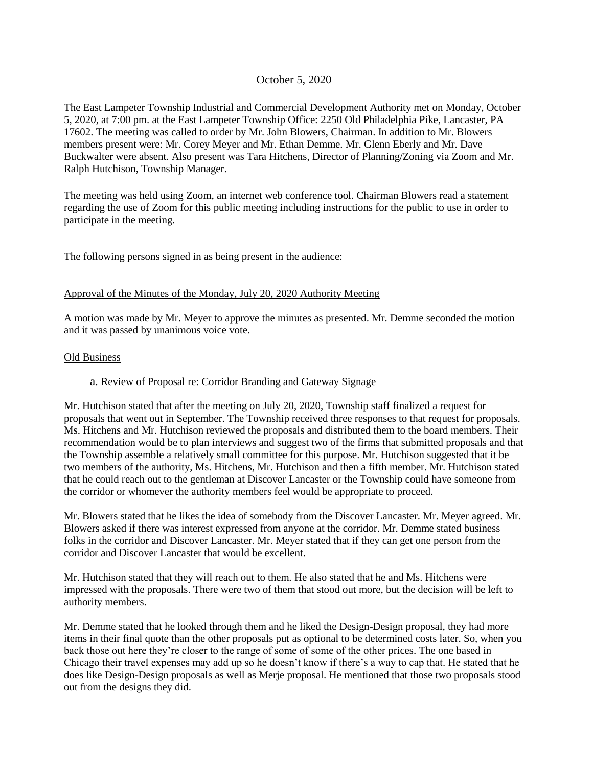# October 5, 2020

The East Lampeter Township Industrial and Commercial Development Authority met on Monday, October 5, 2020, at 7:00 pm. at the East Lampeter Township Office: 2250 Old Philadelphia Pike, Lancaster, PA 17602. The meeting was called to order by Mr. John Blowers, Chairman. In addition to Mr. Blowers members present were: Mr. Corey Meyer and Mr. Ethan Demme. Mr. Glenn Eberly and Mr. Dave Buckwalter were absent. Also present was Tara Hitchens, Director of Planning/Zoning via Zoom and Mr. Ralph Hutchison, Township Manager.

The meeting was held using Zoom, an internet web conference tool. Chairman Blowers read a statement regarding the use of Zoom for this public meeting including instructions for the public to use in order to participate in the meeting.

The following persons signed in as being present in the audience:

### Approval of the Minutes of the Monday, July 20, 2020 Authority Meeting

A motion was made by Mr. Meyer to approve the minutes as presented. Mr. Demme seconded the motion and it was passed by unanimous voice vote.

### Old Business

### a. Review of Proposal re: Corridor Branding and Gateway Signage

Mr. Hutchison stated that after the meeting on July 20, 2020, Township staff finalized a request for proposals that went out in September. The Township received three responses to that request for proposals. Ms. Hitchens and Mr. Hutchison reviewed the proposals and distributed them to the board members. Their recommendation would be to plan interviews and suggest two of the firms that submitted proposals and that the Township assemble a relatively small committee for this purpose. Mr. Hutchison suggested that it be two members of the authority, Ms. Hitchens, Mr. Hutchison and then a fifth member. Mr. Hutchison stated that he could reach out to the gentleman at Discover Lancaster or the Township could have someone from the corridor or whomever the authority members feel would be appropriate to proceed.

Mr. Blowers stated that he likes the idea of somebody from the Discover Lancaster. Mr. Meyer agreed. Mr. Blowers asked if there was interest expressed from anyone at the corridor. Mr. Demme stated business folks in the corridor and Discover Lancaster. Mr. Meyer stated that if they can get one person from the corridor and Discover Lancaster that would be excellent.

Mr. Hutchison stated that they will reach out to them. He also stated that he and Ms. Hitchens were impressed with the proposals. There were two of them that stood out more, but the decision will be left to authority members.

Mr. Demme stated that he looked through them and he liked the Design-Design proposal, they had more items in their final quote than the other proposals put as optional to be determined costs later. So, when you back those out here they're closer to the range of some of some of the other prices. The one based in Chicago their travel expenses may add up so he doesn't know if there's a way to cap that. He stated that he does like Design-Design proposals as well as Merje proposal. He mentioned that those two proposals stood out from the designs they did.